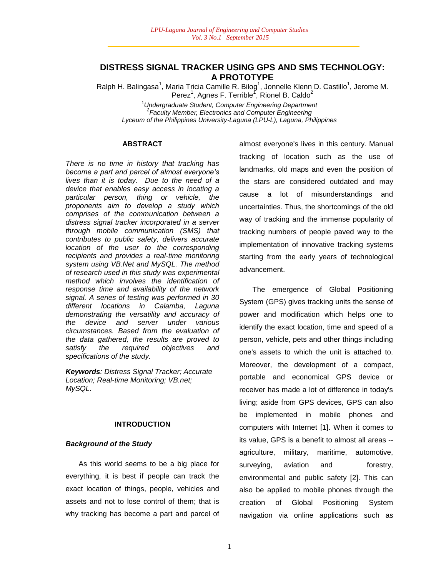## **DISTRESS SIGNAL TRACKER USING GPS AND SMS TECHNOLOGY: A PROTOTYPE**

Ralph H. Balingasa<sup>1</sup>, Maria Tricia Camille R. Bilog<sup>1</sup>, Jonnelle Klenn D. Castillo<sup>1</sup>, Jerome M. Perez<sup>1</sup>, Agnes F. Terrible<sup>1</sup>, Rionel B. Caldo<sup>2</sup>

<sup>1</sup>*Undergraduate Student, Computer Engineering Department 2 Faculty Member, Electronics and Computer Engineering Lyceum of the Philippines University-Laguna (LPU-L), Laguna, Philippines*

## **ABSTRACT**

*There is no time in history that tracking has become a part and parcel of almost everyone"s lives than it is today. Due to the need of a device that enables easy access in locating a particular person, thing or vehicle, the proponents aim to develop a study which comprises of the communication between a distress signal tracker incorporated in a server through mobile communication (SMS) that contributes to public safety, delivers accurate location of the user to the corresponding recipients and provides a real-time monitoring system using VB.Net and MySQL. The method of research used in this study was experimental method which involves the identification of response time and availability of the network signal. A series of testing was performed in 30 different locations in Calamba, Laguna demonstrating the versatility and accuracy of the device and server under various circumstances. Based from the evaluation of the data gathered, the results are proved to satisfy the required objectives and specifications of the study.*

*Keywords: Distress Signal Tracker; Accurate Location; Real-time Monitoring; VB.net; MySQL.*

## **INTRODUCTION**

### *Background of the Study*

As this world seems to be a big place for everything, it is best if people can track the exact location of things, people, vehicles and assets and not to lose control of them; that is why tracking has become a part and parcel of almost everyone's lives in this century. Manual tracking of location such as the use of landmarks, old maps and even the position of the stars are considered outdated and may cause a lot of misunderstandings and uncertainties. Thus, the shortcomings of the old way of tracking and the immense popularity of tracking numbers of people paved way to the implementation of innovative tracking systems starting from the early years of technological advancement.

The emergence of Global Positioning System (GPS) gives tracking units the sense of power and modification which helps one to identify the exact location, time and speed of a person, vehicle, pets and other things including one's assets to which the unit is attached to. Moreover, the development of a compact, portable and economical GPS device or receiver has made a lot of difference in today's living; aside from GPS devices, GPS can also be implemented in mobile phones and computers with Internet [1]. When it comes to its value, GPS is a benefit to almost all areas - agriculture, military, maritime, automotive, surveying, aviation and forestry, environmental and public safety [2]. This can also be applied to mobile phones through the creation of Global Positioning System navigation via online applications such as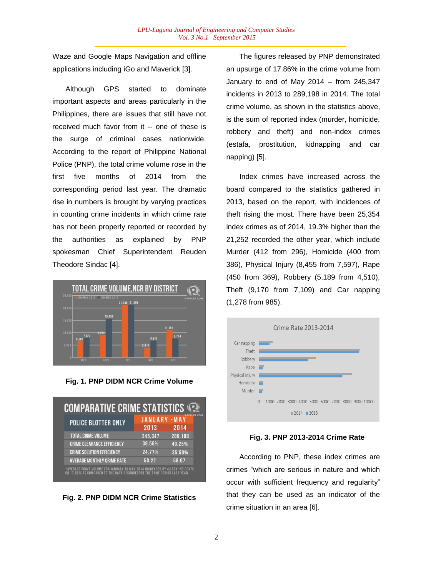Waze and Google Maps Navigation and offline applications including iGo and Maverick [3].

Although GPS started to dominate important aspects and areas particularly in the Philippines, there are issues that still have not received much favor from it -- one of these is the surge of criminal cases nationwide. According to the report of Philippine National Police (PNP), the total crime volume rose in the first five months of 2014 from the corresponding period last year. The dramatic rise in numbers is brought by varying practices in counting crime incidents in which crime rate has not been properly reported or recorded by the authorities as explained by PNP spokesman Chief Superintendent Reuden Theodore Sindac [4].



**Fig. 1. PNP DIDM NCR Crime Volume**

| <b>COMPARATIVE CRIME STATISTICS IS</b>                                                                                                                  |                        |                                 |
|---------------------------------------------------------------------------------------------------------------------------------------------------------|------------------------|---------------------------------|
| <b>POLICE BLOTTER ONLY</b>                                                                                                                              | <b>JANUARY</b><br>2013 | <b>EP COM</b><br>$-MAY$<br>2014 |
| <b>TOTAL CRIME VOLUME</b>                                                                                                                               | 245,347                | 289,198                         |
| <b>CRIME CLEARANCE EFFICIENCY</b>                                                                                                                       | 38.56%                 | 49.25%                          |
| <b>CRIME SOLUTION EFFICIENCY</b>                                                                                                                        | 24.77%                 | 35.50%                          |
| <b>AVERAGE MONTHLY CRIME RATE</b>                                                                                                                       | 50.22                  | 58.07                           |
| *AVERAGE CRIME VOLUME FOR JANUARY TO MAY 2014 INCREASED BY 43.824 INCIDENTS<br>OR 17,86% AS COMPARED TO THE DATA RECORDEDFOR THE SAME PERIOD LAST YEAR. |                        |                                 |

**Fig. 2. PNP DIDM NCR Crime Statistics**

The figures released by PNP demonstrated an upsurge of 17.86% in the crime volume from January to end of May 2014 – from 245,347 incidents in 2013 to 289,198 in 2014. The total crime volume, as shown in the statistics above, is the sum of reported index (murder, homicide, robbery and theft) and non-index crimes (estafa, prostitution, kidnapping and car napping) [5].

Index crimes have increased across the board compared to the statistics gathered in 2013, based on the report, with incidences of theft rising the most. There have been 25,354 index crimes as of 2014, 19.3% higher than the 21,252 recorded the other year, which include Murder (412 from 296), Homicide (400 from 386), Physical Injury (8,455 from 7,597), Rape (450 from 369), Robbery (5,189 from 4,510), Theft (9,170 from 7,109) and Car napping (1,278 from 985).



## **Fig. 3. PNP 2013-2014 Crime Rate**

According to PNP, these index crimes are crimes "which are serious in nature and which occur with sufficient frequency and regularity" that they can be used as an indicator of the crime situation in an area [6].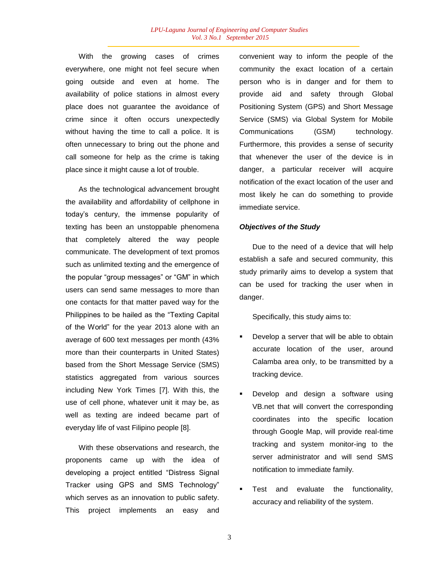With the growing cases of crimes everywhere, one might not feel secure when going outside and even at home. The availability of police stations in almost every place does not guarantee the avoidance of crime since it often occurs unexpectedly without having the time to call a police. It is often unnecessary to bring out the phone and call someone for help as the crime is taking place since it might cause a lot of trouble.

As the technological advancement brought the availability and affordability of cellphone in today"s century, the immense popularity of texting has been an unstoppable phenomena that completely altered the way people communicate. The development of text promos such as unlimited texting and the emergence of the popular "group messages" or "GM" in which users can send same messages to more than one contacts for that matter paved way for the Philippines to be hailed as the "Texting Capital of the World" for the year 2013 alone with an average of 600 text messages per month (43% more than their counterparts in United States) based from the Short Message Service (SMS) statistics aggregated from various sources including New York Times [7]. With this, the use of cell phone, whatever unit it may be, as well as texting are indeed became part of everyday life of vast Filipino people [8].

With these observations and research, the proponents came up with the idea of developing a project entitled "Distress Signal Tracker using GPS and SMS Technology" which serves as an innovation to public safety. This project implements an easy and

convenient way to inform the people of the community the exact location of a certain person who is in danger and for them to provide aid and safety through Global Positioning System (GPS) and Short Message Service (SMS) via Global System for Mobile Communications (GSM) technology. Furthermore, this provides a sense of security that whenever the user of the device is in danger, a particular receiver will acquire notification of the exact location of the user and most likely he can do something to provide immediate service.

## *Objectives of the Study*

Due to the need of a device that will help establish a safe and secured community, this study primarily aims to develop a system that can be used for tracking the user when in danger.

Specifically, this study aims to:

- Develop a server that will be able to obtain accurate location of the user, around Calamba area only, to be transmitted by a tracking device.
- Develop and design a software using VB.net that will convert the corresponding coordinates into the specific location through Google Map, will provide real-time tracking and system monitor-ing to the server administrator and will send SMS notification to immediate family.
- Test and evaluate the functionality, accuracy and reliability of the system.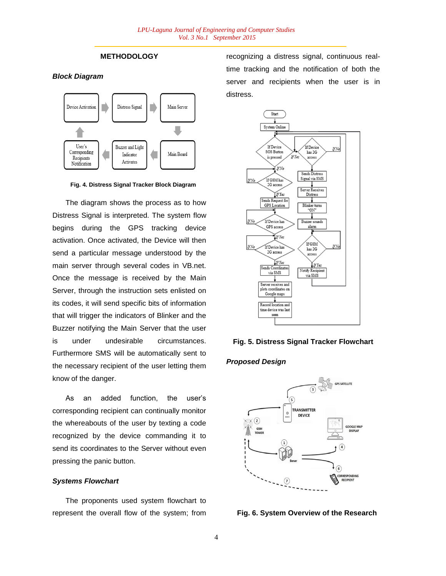## **METHODOLOGY**

*Block Diagram*





The diagram shows the process as to how Distress Signal is interpreted. The system flow begins during the GPS tracking device activation. Once activated, the Device will then send a particular message understood by the main server through several codes in VB.net. Once the message is received by the Main Server, through the instruction sets enlisted on its codes, it will send specific bits of information that will trigger the indicators of Blinker and the Buzzer notifying the Main Server that the user is under undesirable circumstances. Furthermore SMS will be automatically sent to the necessary recipient of the user letting them know of the danger.

As an added function, the user's corresponding recipient can continually monitor the whereabouts of the user by texting a code recognized by the device commanding it to send its coordinates to the Server without even pressing the panic button.

## *Systems Flowchart*

The proponents used system flowchart to represent the overall flow of the system; from recognizing a distress signal, continuous realtime tracking and the notification of both the server and recipients when the user is in distress.



### **Fig. 5. Distress Signal Tracker Flowchart**

### *Proposed Design*



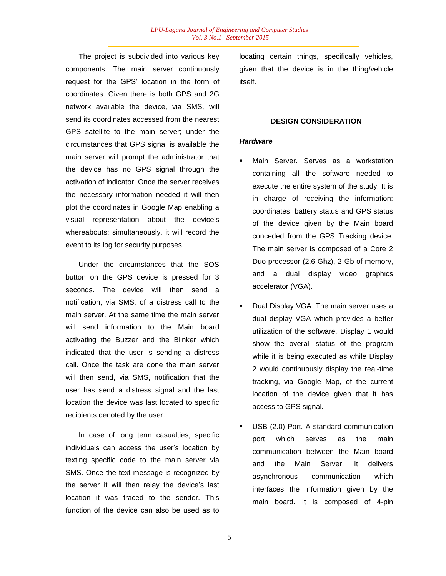The project is subdivided into various key components. The main server continuously request for the GPS' location in the form of coordinates. Given there is both GPS and 2G network available the device, via SMS, will send its coordinates accessed from the nearest GPS satellite to the main server; under the circumstances that GPS signal is available the main server will prompt the administrator that the device has no GPS signal through the activation of indicator. Once the server receives the necessary information needed it will then plot the coordinates in Google Map enabling a visual representation about the device"s whereabouts; simultaneously, it will record the event to its log for security purposes.

Under the circumstances that the SOS button on the GPS device is pressed for 3 seconds. The device will then send a notification, via SMS, of a distress call to the main server. At the same time the main server will send information to the Main board activating the Buzzer and the Blinker which indicated that the user is sending a distress call. Once the task are done the main server will then send, via SMS, notification that the user has send a distress signal and the last location the device was last located to specific recipients denoted by the user.

In case of long term casualties, specific individuals can access the user"s location by texting specific code to the main server via SMS. Once the text message is recognized by the server it will then relay the device"s last location it was traced to the sender. This function of the device can also be used as to locating certain things, specifically vehicles, given that the device is in the thing/vehicle itself.

### **DESIGN CONSIDERATION**

#### *Hardware*

- Main Server. Serves as a workstation containing all the software needed to execute the entire system of the study. It is in charge of receiving the information: coordinates, battery status and GPS status of the device given by the Main board conceded from the GPS Tracking device. The main server is composed of a Core 2 Duo processor (2.6 Ghz), 2-Gb of memory, and a dual display video graphics accelerator (VGA).
- Dual Display VGA. The main server uses a dual display VGA which provides a better utilization of the software. Display 1 would show the overall status of the program while it is being executed as while Display 2 would continuously display the real-time tracking, via Google Map, of the current location of the device given that it has access to GPS signal.
- USB (2.0) Port. A standard communication port which serves as the main communication between the Main board and the Main Server. It delivers asynchronous communication which interfaces the information given by the main board. It is composed of 4-pin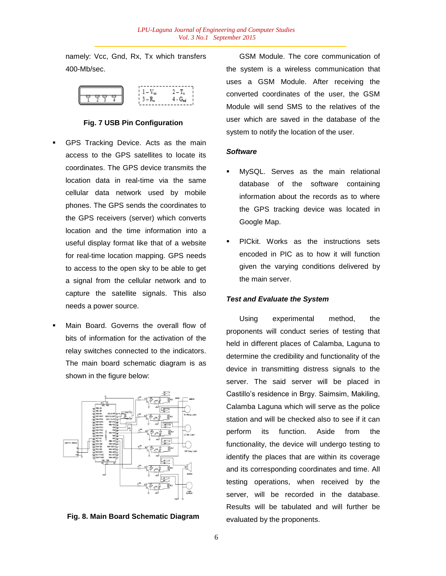namely: Vcc, Gnd, Rx, Tx which transfers 400-Mb/sec.



## **Fig. 7 USB Pin Configuration**

- GPS Tracking Device. Acts as the main access to the GPS satellites to locate its coordinates. The GPS device transmits the location data in real-time via the same cellular data network used by mobile phones. The GPS sends the coordinates to the GPS receivers (server) which converts location and the time information into a useful display format like that of a website for real-time location mapping. GPS needs to access to the open sky to be able to get a signal from the cellular network and to capture the satellite signals. This also needs a power source.
- Main Board. Governs the overall flow of bits of information for the activation of the relay switches connected to the indicators. The main board schematic diagram is as shown in the figure below:



**Fig. 8. Main Board Schematic Diagram**

GSM Module. The core communication of the system is a wireless communication that uses a GSM Module. After receiving the converted coordinates of the user, the GSM Module will send SMS to the relatives of the user which are saved in the database of the system to notify the location of the user.

## *Software*

- MySQL. Serves as the main relational database of the software containing information about the records as to where the GPS tracking device was located in Google Map.
- PICkit. Works as the instructions sets encoded in PIC as to how it will function given the varying conditions delivered by the main server.

### *Test and Evaluate the System*

Using experimental method, the proponents will conduct series of testing that held in different places of Calamba, Laguna to determine the credibility and functionality of the device in transmitting distress signals to the server. The said server will be placed in Castillo"s residence in Brgy. Saimsim, Makiling, Calamba Laguna which will serve as the police station and will be checked also to see if it can perform its function. Aside from the functionality, the device will undergo testing to identify the places that are within its coverage and its corresponding coordinates and time. All testing operations, when received by the server, will be recorded in the database. Results will be tabulated and will further be evaluated by the proponents.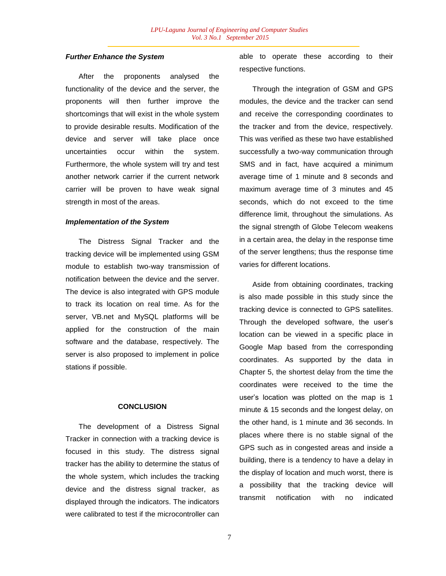## *Further Enhance the System*

After the proponents analysed the functionality of the device and the server, the proponents will then further improve the shortcomings that will exist in the whole system to provide desirable results. Modification of the device and server will take place once uncertainties occur within the system. Furthermore, the whole system will try and test another network carrier if the current network carrier will be proven to have weak signal strength in most of the areas.

### *Implementation of the System*

The Distress Signal Tracker and the tracking device will be implemented using GSM module to establish two-way transmission of notification between the device and the server. The device is also integrated with GPS module to track its location on real time. As for the server, VB.net and MySQL platforms will be applied for the construction of the main software and the database, respectively. The server is also proposed to implement in police stations if possible.

#### **CONCLUSION**

The development of a Distress Signal Tracker in connection with a tracking device is focused in this study. The distress signal tracker has the ability to determine the status of the whole system, which includes the tracking device and the distress signal tracker, as displayed through the indicators. The indicators were calibrated to test if the microcontroller can able to operate these according to their respective functions.

Through the integration of GSM and GPS modules, the device and the tracker can send and receive the corresponding coordinates to the tracker and from the device, respectively. This was verified as these two have established successfully a two-way communication through SMS and in fact, have acquired a minimum average time of 1 minute and 8 seconds and maximum average time of 3 minutes and 45 seconds, which do not exceed to the time difference limit, throughout the simulations. As the signal strength of Globe Telecom weakens in a certain area, the delay in the response time of the server lengthens; thus the response time varies for different locations.

Aside from obtaining coordinates, tracking is also made possible in this study since the tracking device is connected to GPS satellites. Through the developed software, the user"s location can be viewed in a specific place in Google Map based from the corresponding coordinates. As supported by the data in Chapter 5, the shortest delay from the time the coordinates were received to the time the user"s location was plotted on the map is 1 minute & 15 seconds and the longest delay, on the other hand, is 1 minute and 36 seconds. In places where there is no stable signal of the GPS such as in congested areas and inside a building, there is a tendency to have a delay in the display of location and much worst, there is a possibility that the tracking device will transmit notification with no indicated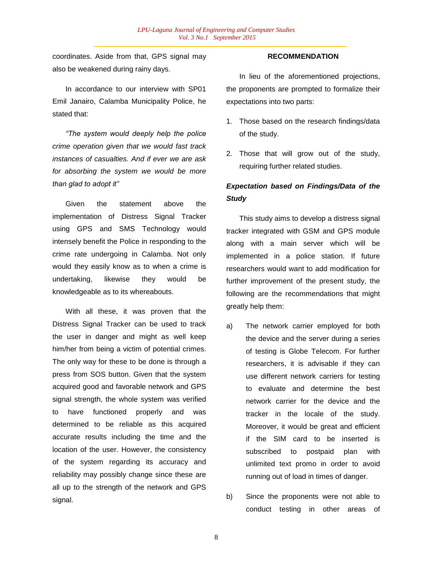coordinates. Aside from that, GPS signal may also be weakened during rainy days.

In accordance to our interview with SP01 Emil Janairo, Calamba Municipality Police, he stated that:

*"The system would deeply help the police crime operation given that we would fast track instances of casualties. And if ever we are ask for absorbing the system we would be more than glad to adopt it"*

Given the statement above the implementation of Distress Signal Tracker using GPS and SMS Technology would intensely benefit the Police in responding to the crime rate undergoing in Calamba. Not only would they easily know as to when a crime is undertaking, likewise they would be knowledgeable as to its whereabouts.

With all these, it was proven that the Distress Signal Tracker can be used to track the user in danger and might as well keep him/her from being a victim of potential crimes. The only way for these to be done is through a press from SOS button. Given that the system acquired good and favorable network and GPS signal strength, the whole system was verified to have functioned properly and was determined to be reliable as this acquired accurate results including the time and the location of the user. However, the consistency of the system regarding its accuracy and reliability may possibly change since these are all up to the strength of the network and GPS signal.

## **RECOMMENDATION**

In lieu of the aforementioned projections, the proponents are prompted to formalize their expectations into two parts:

- 1. Those based on the research findings/data of the study.
- 2. Those that will grow out of the study, requiring further related studies.

# *Expectation based on Findings/Data of the Study*

This study aims to develop a distress signal tracker integrated with GSM and GPS module along with a main server which will be implemented in a police station. If future researchers would want to add modification for further improvement of the present study, the following are the recommendations that might greatly help them:

- a) The network carrier employed for both the device and the server during a series of testing is Globe Telecom. For further researchers, it is advisable if they can use different network carriers for testing to evaluate and determine the best network carrier for the device and the tracker in the locale of the study. Moreover, it would be great and efficient if the SIM card to be inserted is subscribed to postpaid plan with unlimited text promo in order to avoid running out of load in times of danger.
- b) Since the proponents were not able to conduct testing in other areas of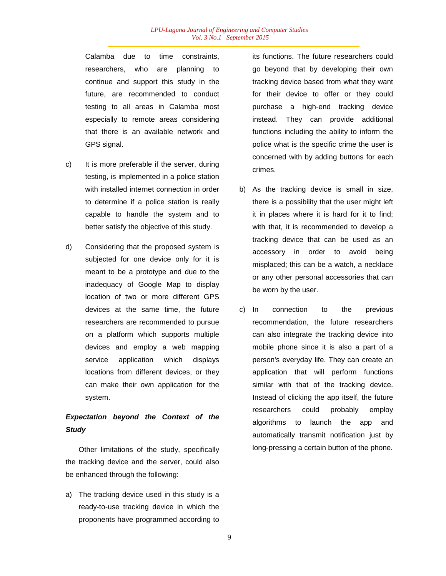Calamba due to time constraints, researchers, who are planning to continue and support this study in the future, are recommended to conduct testing to all areas in Calamba most especially to remote areas considering that there is an available network and GPS signal.

- c) It is more preferable if the server, during testing, is implemented in a police station with installed internet connection in order to determine if a police station is really capable to handle the system and to better satisfy the objective of this study.
- d) Considering that the proposed system is subjected for one device only for it is meant to be a prototype and due to the inadequacy of Google Map to display location of two or more different GPS devices at the same time, the future researchers are recommended to pursue on a platform which supports multiple devices and employ a web mapping service application which displays locations from different devices, or they can make their own application for the system.

# *Expectation beyond the Context of the Study*

Other limitations of the study, specifically the tracking device and the server, could also be enhanced through the following:

a) The tracking device used in this study is a ready-to-use tracking device in which the proponents have programmed according to its functions. The future researchers could go beyond that by developing their own tracking device based from what they want for their device to offer or they could purchase a high-end tracking device instead. They can provide additional functions including the ability to inform the police what is the specific crime the user is concerned with by adding buttons for each crimes.

- b) As the tracking device is small in size, there is a possibility that the user might left it in places where it is hard for it to find; with that, it is recommended to develop a tracking device that can be used as an accessory in order to avoid being misplaced; this can be a watch, a necklace or any other personal accessories that can be worn by the user.
- c) In connection to the previous recommendation, the future researchers can also integrate the tracking device into mobile phone since it is also a part of a person's everyday life. They can create an application that will perform functions similar with that of the tracking device. Instead of clicking the app itself, the future researchers could probably employ algorithms to launch the app and automatically transmit notification just by long-pressing a certain button of the phone.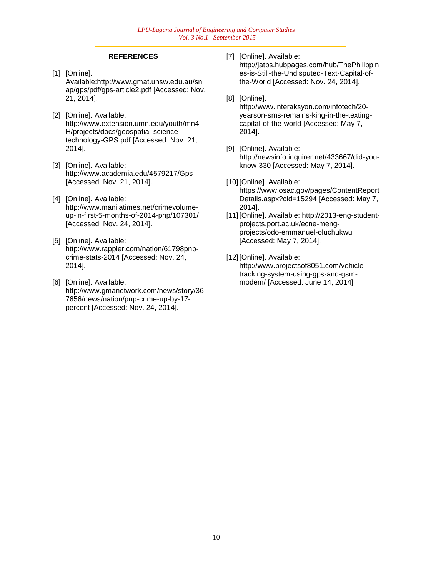## **REFERENCES**

- [1] [Online]. Available:http://www.gmat.unsw.edu.au/sn ap/gps/pdf/gps-article2.pdf [Accessed: Nov. 21, 2014].
- [2] [Online]. Available: http://www.extension.umn.edu/youth/mn4- H/projects/docs/geospatial-sciencetechnology-GPS.pdf [Accessed: Nov. 21, 2014].
- [3] [Online]. Available: http://www.academia.edu/4579217/Gps [Accessed: Nov. 21, 2014].
- [4] [Online]. Available: http://www.manilatimes.net/crimevolumeup-in-first-5-months-of-2014-pnp/107301/ [Accessed: Nov. 24, 2014].
- [5] [Online]. Available: http://www.rappler.com/nation/61798pnpcrime-stats-2014 [Accessed: Nov. 24, 2014].
- [6] [Online]. Available: http://www.gmanetwork.com/news/story/36 7656/news/nation/pnp-crime-up-by-17 percent [Accessed: Nov. 24, 2014].

[7] [Online]. Available:

http://jatps.hubpages.com/hub/ThePhilippin es-is-Still-the-Undisputed-Text-Capital-ofthe-World [Accessed: Nov. 24, 2014].

[8] [Online].

http://www.interaksyon.com/infotech/20 yearson-sms-remains-king-in-the-textingcapital-of-the-world [Accessed: May 7, 2014].

- [9] [Online]. Available: http://newsinfo.inquirer.net/433667/did-youknow-330 [Accessed: May 7, 2014].
- [10] [Online]. Available: https://www.osac.gov/pages/ContentReport Details.aspx?cid=15294 [Accessed: May 7, 2014].
- [11] [Online]. Available: http://2013-eng-studentprojects.port.ac.uk/ecne-mengprojects/odo-emmanuel-oluchukwu [Accessed: May 7, 2014].
- [12] [Online]. Available: http://www.projectsof8051.com/vehicletracking-system-using-gps-and-gsmmodem/ [Accessed: June 14, 2014]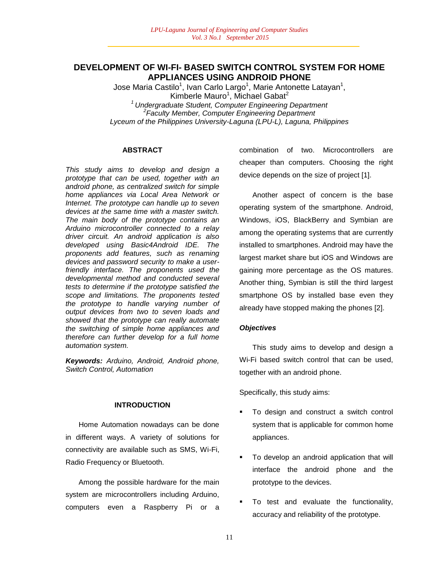## **DEVELOPMENT OF WI-FI- BASED SWITCH CONTROL SYSTEM FOR HOME APPLIANCES USING ANDROID PHONE**

Jose Maria Castilo<sup>1</sup>, Ivan Carlo Largo<sup>1</sup>, Marie Antonette Latayan<sup>1</sup>, Kimberle Mauro<sup>1</sup>, Michael Gabat<sup>2</sup> *<sup>1</sup>Undergraduate Student, Computer Engineering Department 2 Faculty Member, Computer Engineering Department Lyceum of the Philippines University-Laguna (LPU-L), Laguna, Philippines*

### **ABSTRACT**

*This study aims to develop and design a prototype that can be used, together with an android phone, as centralized switch for simple home appliances via Local Area Network or Internet. The prototype can handle up to seven devices at the same time with a master switch. The main body of the prototype contains an Arduino microcontroller connected to a relay driver circuit. An android application is also developed using Basic4Android IDE. The proponents add features, such as renaming devices and password security to make a userfriendly interface. The proponents used the developmental method and conducted several tests to determine if the prototype satisfied the scope and limitations. The proponents tested the prototype to handle varying number of output devices from two to seven loads and showed that the prototype can really automate the switching of simple home appliances and therefore can further develop for a full home automation system.*

*Keywords: Arduino, Android, Android phone, Switch Control, Automation*

#### **INTRODUCTION**

Home Automation nowadays can be done in different ways. A variety of solutions for connectivity are available such as SMS, Wi-Fi, Radio Frequency or Bluetooth.

Among the possible hardware for the main system are microcontrollers including Arduino, computers even a Raspberry Pi or a combination of two. Microcontrollers are cheaper than computers. Choosing the right device depends on the size of project [1].

Another aspect of concern is the base operating system of the smartphone. Android, Windows, iOS, BlackBerry and Symbian are among the operating systems that are currently installed to smartphones. Android may have the largest market share but iOS and Windows are gaining more percentage as the OS matures. Another thing, Symbian is still the third largest smartphone OS by installed base even they already have stopped making the phones [2].

## *Objectives*

This study aims to develop and design a Wi-Fi based switch control that can be used, together with an android phone.

Specifically, this study aims:

- **To design and construct a switch control** system that is applicable for common home appliances.
- To develop an android application that will interface the android phone and the prototype to the devices.
- To test and evaluate the functionality, accuracy and reliability of the prototype.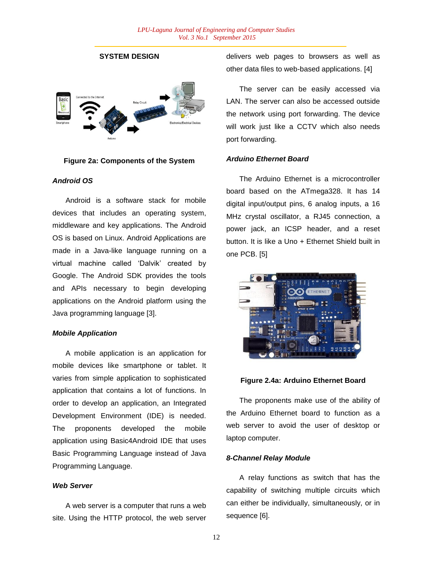## **SYSTEM DESIGN**



#### **Figure 2a: Components of the System**

## *Android OS*

Android is a software stack for mobile devices that includes an operating system, middleware and key applications. The Android OS is based on Linux. Android Applications are made in a Java-like language running on a virtual machine called "Dalvik" created by Google. The Android SDK provides the tools and APIs necessary to begin developing applications on the Android platform using the Java programming language [3].

#### *Mobile Application*

A mobile application is an application for mobile devices like smartphone or tablet. It varies from simple application to sophisticated application that contains a lot of functions. In order to develop an application, an Integrated Development Environment (IDE) is needed. The proponents developed the mobile application using Basic4Android IDE that uses Basic Programming Language instead of Java Programming Language.

### *Web Server*

A web server is a computer that runs a web site. Using the HTTP protocol, the web server delivers web pages to browsers as well as other data files to web-based applications. [4]

The server can be easily accessed via LAN. The server can also be accessed outside the network using port forwarding. The device will work just like a CCTV which also needs port forwarding.

#### *Arduino Ethernet Board*

The Arduino Ethernet is a microcontroller board based on the ATmega328. It has 14 digital input/output pins, 6 analog inputs, a 16 MHz crystal oscillator, a RJ45 connection, a power jack, an ICSP header, and a reset button. It is like a Uno + Ethernet Shield built in one PCB. [5]



#### **Figure 2.4a: Arduino Ethernet Board**

The proponents make use of the ability of the Arduino Ethernet board to function as a web server to avoid the user of desktop or laptop computer.

### *8-Channel Relay Module*

A relay functions as switch that has the capability of switching multiple circuits which can either be individually, simultaneously, or in sequence [6].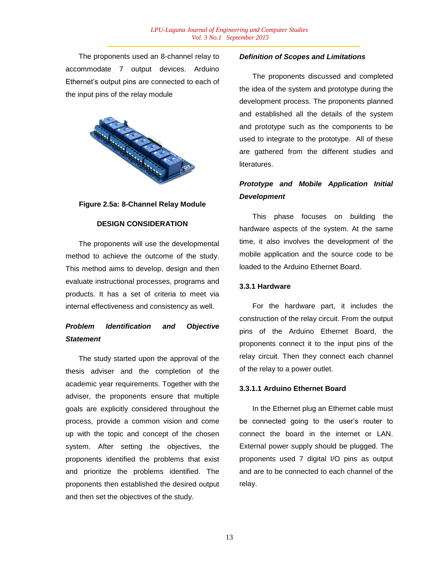The proponents used an 8-channel relay to accommodate 7 output devices. Arduino Ethernet's output pins are connected to each of the input pins of the relay module



**Figure 2.5a: 8-Channel Relay Module**

## **DESIGN CONSIDERATION**

The proponents will use the developmental method to achieve the outcome of the study. This method aims to develop, design and then evaluate instructional processes, programs and products. It has a set of criteria to meet via internal effectiveness and consistency as well.

# *Problem Identification and Objective Statement*

The study started upon the approval of the thesis adviser and the completion of the academic year requirements. Together with the adviser, the proponents ensure that multiple goals are explicitly considered throughout the process, provide a common vision and come up with the topic and concept of the chosen system. After setting the objectives, the proponents identified the problems that exist and prioritize the problems identified. The proponents then established the desired output and then set the objectives of the study.

## *Definition of Scopes and Limitations*

The proponents discussed and completed the idea of the system and prototype during the development process. The proponents planned and established all the details of the system and prototype such as the components to be used to integrate to the prototype. All of these are gathered from the different studies and literatures.

# *Prototype and Mobile Application Initial Development*

This phase focuses on building the hardware aspects of the system. At the same time, it also involves the development of the mobile application and the source code to be loaded to the Arduino Ethernet Board.

## **3.3.1 Hardware**

For the hardware part, it includes the construction of the relay circuit. From the output pins of the Arduino Ethernet Board, the proponents connect it to the input pins of the relay circuit. Then they connect each channel of the relay to a power outlet.

## **3.3.1.1 Arduino Ethernet Board**

In the Ethernet plug an Ethernet cable must be connected going to the user's router to connect the board in the internet or LAN. External power supply should be plugged. The proponents used 7 digital I/O pins as output and are to be connected to each channel of the relay.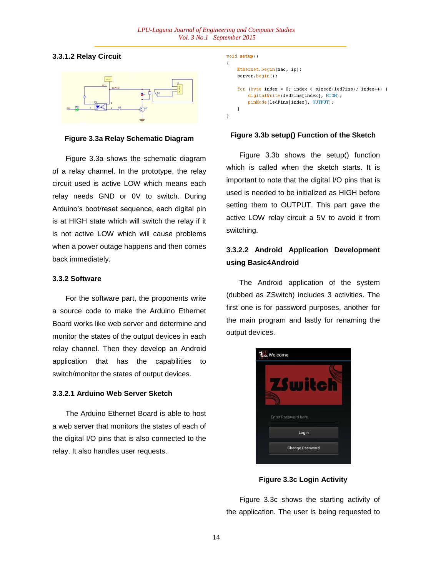## **3.3.1.2 Relay Circuit**



**Figure 3.3a Relay Schematic Diagram**

Figure 3.3a shows the schematic diagram of a relay channel. In the prototype, the relay circuit used is active LOW which means each relay needs GND or 0V to switch. During Arduino"s boot/reset sequence, each digital pin is at HIGH state which will switch the relay if it is not active LOW which will cause problems when a power outage happens and then comes back immediately.

### **3.3.2 Software**

For the software part, the proponents write a source code to make the Arduino Ethernet Board works like web server and determine and monitor the states of the output devices in each relay channel. Then they develop an Android application that has the capabilities to switch/monitor the states of output devices.

#### **3.3.2.1 Arduino Web Server Sketch**

The Arduino Ethernet Board is able to host a web server that monitors the states of each of the digital I/O pins that is also connected to the relay. It also handles user requests.

```
void setup()
\left\{ \right.Ethernet.begin(mac, ip);
    server.begin();
    for (byte index = 0; index < sizeof(ledPins); index++) {
         digitalWrite(ledPins[index], HIGH);
        pinMode(ledPins[index], OUTPUT);
    \mathcal{Y}I
```
#### **Figure 3.3b setup() Function of the Sketch**

Figure 3.3b shows the setup() function which is called when the sketch starts. It is important to note that the digital I/O pins that is used is needed to be initialized as HIGH before setting them to OUTPUT. This part gave the active LOW relay circuit a 5V to avoid it from switching.

# **3.3.2.2 Android Application Development using Basic4Android**

The Android application of the system (dubbed as ZSwitch) includes 3 activities. The first one is for password purposes, another for the main program and lastly for renaming the output devices.



**Figure 3.3c Login Activity**

Figure 3.3c shows the starting activity of the application. The user is being requested to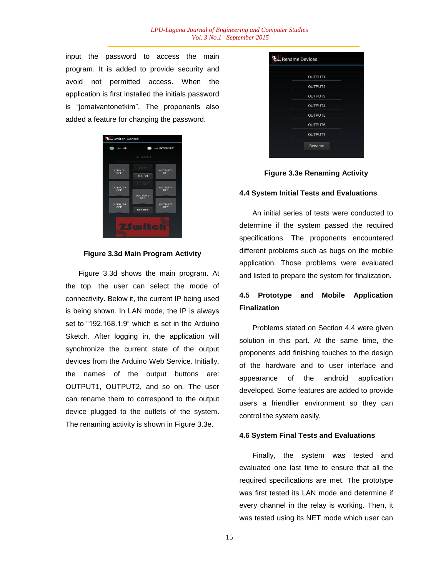input the password to access the main program. It is added to provide security and avoid not permitted access. When the application is first installed the initials password is "jomaivantonetkim". The proponents also added a feature for changing the password.





Figure 3.3d shows the main program. At the top, the user can select the mode of connectivity. Below it, the current IP being used is being shown. In LAN mode, the IP is always set to "192.168.1.9" which is set in the Arduino Sketch. After logging in, the application will synchronize the current state of the output devices from the Arduino Web Service. Initially, the names of the output buttons are: OUTPUT1, OUTPUT2, and so on. The user can rename them to correspond to the output device plugged to the outlets of the system. The renaming activity is shown in Figure 3.3e.



**Figure 3.3e Renaming Activity**

#### **4.4 System Initial Tests and Evaluations**

An initial series of tests were conducted to determine if the system passed the required specifications. The proponents encountered different problems such as bugs on the mobile application. Those problems were evaluated and listed to prepare the system for finalization.

## **4.5 Prototype and Mobile Application Finalization**

Problems stated on Section 4.4 were given solution in this part. At the same time, the proponents add finishing touches to the design of the hardware and to user interface and appearance of the android application developed. Some features are added to provide users a friendlier environment so they can control the system easily.

#### **4.6 System Final Tests and Evaluations**

Finally, the system was tested and evaluated one last time to ensure that all the required specifications are met. The prototype was first tested its LAN mode and determine if every channel in the relay is working. Then, it was tested using its NET mode which user can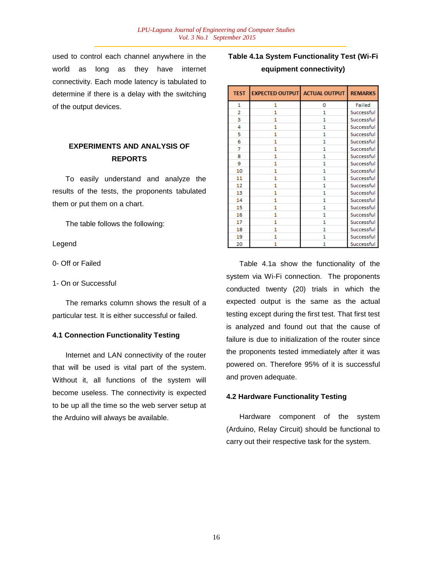used to control each channel anywhere in the world as long as they have internet connectivity. Each mode latency is tabulated to determine if there is a delay with the switching of the output devices.

# **EXPERIMENTS AND ANALYSIS OF REPORTS**

To easily understand and analyze the results of the tests, the proponents tabulated them or put them on a chart.

The table follows the following:

Legend

0- Off or Failed

1- On or Successful

The remarks column shows the result of a particular test. It is either successful or failed.

## **4.1 Connection Functionality Testing**

Internet and LAN connectivity of the router that will be used is vital part of the system. Without it, all functions of the system will become useless. The connectivity is expected to be up all the time so the web server setup at the Arduino will always be available.

# **Table 4.1a System Functionality Test (Wi-Fi equipment connectivity)**

| <b>TEST</b> | <b>EXPECTED OUTPUT ACTUAL OUTPUT</b> |              | <b>REMARKS</b> |
|-------------|--------------------------------------|--------------|----------------|
| 1           | 1                                    | 0            | Failed         |
| 2           | 1                                    | 1            | Successful     |
| 3           | 1                                    | $\mathbf{1}$ | Successful     |
| 4           | $\mathbf{1}$                         | 1            | Successful     |
| 5           | 1                                    | 1            | Successful     |
| 6           | 1                                    | 1            | Successful     |
| 7           | 1                                    | 1            | Successful     |
| 8           | 1                                    | 1            | Successful     |
| 9           | $\mathbf{1}$                         | 1            | Successful     |
| 10          | 1                                    | 1            | Successful     |
| 11          | 1                                    | 1            | Successful     |
| 12          | 1                                    | 1            | Successful     |
| 13          | 1                                    | 1            | Successful     |
| 14          | 1                                    | 1            | Successful     |
| 15          | 1                                    | 1            | Successful     |
| 16          | 1                                    | 1            | Successful     |
| 17          | 1                                    | 1            | Successful     |
| 18          | 1                                    | 1            | Successful     |
| 19          | 1                                    | 1            | Successful     |
| 20          | 1                                    | 1            | Successful     |

Table 4.1a show the functionality of the system via Wi-Fi connection. The proponents conducted twenty (20) trials in which the expected output is the same as the actual testing except during the first test. That first test is analyzed and found out that the cause of failure is due to initialization of the router since the proponents tested immediately after it was powered on. Therefore 95% of it is successful and proven adequate.

## **4.2 Hardware Functionality Testing**

Hardware component of the system (Arduino, Relay Circuit) should be functional to carry out their respective task for the system.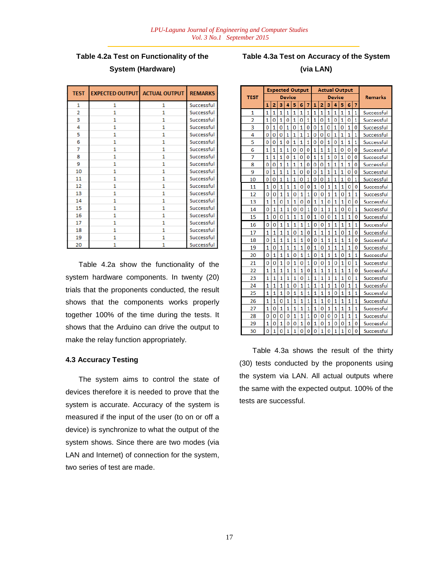# **Table 4.2a Test on Functionality of the System (Hardware)**

| <b>TEST</b> | <b>EXPECTED OUTPUT</b> | <b>ACTUAL OUTPUT</b> | <b>REMARKS</b> |
|-------------|------------------------|----------------------|----------------|
| 1           | 1                      | 1                    | Successful     |
| 2           | 1                      | 1                    | Successful     |
| 3           | 1                      | 1                    | Successful     |
| 4           | 1                      | 1                    | Successful     |
| 5           | 1                      | 1                    | Successful     |
| 6           | 1                      | 1                    | Successful     |
| 7           | 1                      | 1                    | Successful     |
| 8           | 1                      | 1                    | Successful     |
| 9           | 1                      | 1                    | Successful     |
| 10          | 1                      | 1                    | Successful     |
| 11          | 1                      | 1                    | Successful     |
| 12          | 1                      | 1                    | Successful     |
| 13          | 1                      | 1                    | Successful     |
| 14          | 1                      | 1                    | Successful     |
| 15          | 1                      | 1                    | Successful     |
| 16          | 1                      | 1                    | Successful     |
| 17          | 1                      | 1                    | Successful     |
| 18          | 1                      | 1                    | Successful     |
| 19          | $\mathbf{1}$           | 1                    | Successful     |
| 20          | 1                      | 1                    | Successful     |

Table 4.2a show the functionality of the system hardware components. In twenty (20) trials that the proponents conducted, the result shows that the components works properly together 100% of the time during the tests. It shows that the Arduino can drive the output to make the relay function appropriately.

## **4.3 Accuracy Testing**

The system aims to control the state of devices therefore it is needed to prove that the system is accurate. Accuracy of the system is measured if the input of the user (to on or off a device) is synchronize to what the output of the system shows. Since there are two modes (via LAN and Internet) of connection for the system, two series of test are made.

## **Table 4.3a Test on Accuracy of the System**

## **(via LAN)**

|                |                |                | <b>Expected Output</b> |                |                |                |                |                |                |                | <b>Actual Output</b> |                |                |                |            |
|----------------|----------------|----------------|------------------------|----------------|----------------|----------------|----------------|----------------|----------------|----------------|----------------------|----------------|----------------|----------------|------------|
| <b>TEST</b>    |                |                |                        | <b>Device</b>  |                |                |                |                |                |                | <b>Device</b>        |                | <b>Remarks</b> |                |            |
|                | 1              | $\overline{2}$ | 3                      | 4              | 5              | 6              | 7              | 1              | $\overline{2}$ | 3              | 4                    | 5              | 6              | 7              |            |
| 1              | 1              | 1              | 1                      | 1              | 1              | 1              | 1              | 1              | 1              | 1              | 1                    | 1              | 1              | 1              | Successful |
| $\overline{a}$ | $\mathbf{1}$   | $\Omega$       | 1                      | $\overline{0}$ | 1              | 0              | $\mathbf{1}$   | $\overline{1}$ | 0              | $\overline{1}$ | $\overline{0}$       | 1              | 0              | 1              | Successful |
| 3              | 0              | 1              | 0                      | $\mathbf{1}$   | $\overline{0}$ | 1              | 0              | $\overline{0}$ | 1              | 0              | $\mathbf{1}$         | 0              | $\mathbf{1}$   | 0              | Successful |
| 4              | 0              | $\Omega$       | 0                      | 1              | 1              | 1              | $\overline{1}$ | $\overline{0}$ | $\overline{0}$ | 0              | 1                    | 1              | 1              | 1              | Successful |
| 5              | 0              | $\Omega$       | 1                      | $\mathbf{0}$   | 1              | 1              | 1              | 0              | 0              | 1              | $\overline{0}$       | 1              | 1              | 1              | Successful |
| 6              | 1              | 1              | 1                      | 1              | $\mathbf{0}$   | 0              | 0              | $\mathbf{1}$   | 1              | 1              | $\overline{1}$       | 0              | 0              | $\overline{0}$ | Successful |
| 7              | 1              | 1              | 1                      | 0              | 1              | 0              | 0              | 1              | 1              | 1              | 0                    | 1              | 0              | 0              | Successful |
| 8              | Ō              | $\Omega$       | 1                      | $\mathbf{1}$   | $\mathbf{1}$   | 1              | O              | 0              | 0              | $\mathbf{1}$   | $\overline{1}$       | $\mathbf{1}$   | $\mathbf{1}$   | 0              | Successful |
| 9              | 0              | 1              | 1                      | 1              | $\mathbf{1}$   | $\overline{0}$ | $\overline{0}$ | Ō              | 1              | 1              | $\mathbf{1}$         | $\mathbf{1}$   | $\overline{0}$ | 0              | Successful |
| 10             | 0              | $\overline{0}$ | 1                      | $\mathbf{1}$   | 1              | 0              | $\mathbf{1}$   | $\overline{0}$ | 0              | 1              | $\overline{1}$       | $\overline{1}$ | Ō              | 1              | Successful |
| 11             | 1              | 0              | $\mathbf{1}$           | 1              | 1              | 0              | 0              | 1              | 0              | 1              | 1                    | 1              | 0              | $\overline{0}$ | Successful |
| 12             | 0              | 0              | 1                      | 1              | $\overline{0}$ | 1              | 1              | 0              | 0              | 1              | 1                    | 0              | 1              | 1              | Successful |
| 13             | 1              | $\mathbf{1}$   | 0                      | $\mathbf{1}$   | 1              | 0              | $\overline{0}$ | 1              | 1              | 0              | 1                    | $\mathbf{1}$   | $\overline{0}$ | 0              | Successful |
| 14             | 0              | $\mathbf{1}$   | 1                      | 1              | $\overline{0}$ | 0              | 1              | 0              | 1              | 1              | $\mathbf{1}$         | 0              | 0              | 1              | Successful |
| 15             | 1              | $\overline{0}$ | Ō                      | 1              | 1              | 1              | 0              | 1              | $\Omega$       | Ō              | 1                    | 1              | 1              | Ō              | Successful |
| 16             | 0              | $\overline{0}$ | $\mathbf{1}$           | 1              | 1              | 1              | 1              | $\overline{0}$ | $\mathbf 0$    | 1              | 1                    | 1              | 1              | 1              | Successful |
| 17             | 1              | 1              | 1                      | 1              | $\overline{0}$ | 1              | $\overline{0}$ | 1              | 1              | 1              | 1                    | $\mathbf{0}$   | 1              | $\overline{0}$ | Successful |
| 18             | 0              | $\mathbf{1}$   | $\mathbf{1}$           | $\mathbf{1}$   | $\mathbf{1}$   | $\mathbf{1}$   | Ō              | $\overline{0}$ | $\mathbf{1}$   | $\mathbf{1}$   | $\mathbf{1}$         | $\mathbf{1}$   | 1              | Ō              | Successful |
| 19             | 1              | 0              | 1                      | 1              | 1              | 1              | 0              | 1              | 0              | 1              | 1                    | 1              | 1              | 0              | Successful |
| 20             | 0              | $\mathbf{1}$   | $\mathbf{1}$           | $\overline{1}$ | $\overline{0}$ | $\mathbf{1}$   | 1              | $\overline{0}$ | 1              | $\mathbf{1}$   | $\mathbf{1}$         | 0              | $\mathbf{1}$   | $\mathbf{1}$   | Successful |
| 21             | O              | 0              | $\mathbf{1}$           | Ō              | $\mathbf{1}$   | $\overline{0}$ | $\mathbf{1}$   | $\overline{0}$ | $\mathbf 0$    | 1              | $\overline{0}$       | $\overline{1}$ | Ō              | $\mathbf{1}$   | Successful |
| 22             | 1              | 1              | 1                      | 1              | 1              | 1              | $\overline{0}$ | 1              | 1              | 1              | 1                    | 1              | 1              | 0              | Successful |
| 23             | 1              | 1              | 1                      | 1              | 1              | 0              | 1              | 1              | 1              | 1              | 1                    | 1              | Ō              | 1              | Successful |
| 24             | 1              | 1              | 1                      | 1              | $\overline{0}$ | 1              | 1              | 1              | 1              | 1              | 1                    | 0              | 1              | 1              | Successful |
| 25             | 1              | $\mathbf{1}$   | $\mathbf{1}$           | Ō              | $\mathbf{1}$   | $\mathbf{1}$   | 1              | 1              | 1              | 1              | $\overline{0}$       | $\mathbf{1}$   | 1              | $\overline{1}$ | Successful |
| 26             | 1              | $\mathbf{1}$   | 0                      | 1              | $\mathbf{1}$   | 1              | 1              | $\mathbf{1}$   | 1              | 0              | 1                    | 1              | 1              | $\mathbf{1}$   | Successful |
| 27             | $\overline{1}$ | 0              | 1                      | 1              | 1              | 1              | 1              | 1              | 0              | 1              | $\overline{1}$       | 1              | $\overline{1}$ | 1              | Successful |
| 28             | 0              | $\Omega$       | $\overline{0}$         | 0              | $\mathbf{1}$   | $\mathbf{1}$   | 1              | $\overline{0}$ | $\overline{0}$ | $\Omega$       | $\Omega$             | $\mathbf{1}$   | $\mathbf{1}$   | 1              | Successful |
| 29             | 1              | 0              | 1                      | 0              | 0              | 1              | $\overline{0}$ | 1              | $\overline{0}$ | 1              | 0                    | 0              | 1              | 0              | Successful |
| 30             | 0              | $\overline{1}$ | 0                      | $\mathbf{1}$   | $\mathbf{1}$   | $\overline{0}$ | 0              | $\overline{0}$ | 1              | 0              | $\mathbf{1}$         | $\mathbf{1}$   | Ō              | $\Omega$       | Successful |

Table 4.3a shows the result of the thirty (30) tests conducted by the proponents using the system via LAN. All actual outputs where the same with the expected output. 100% of the tests are successful.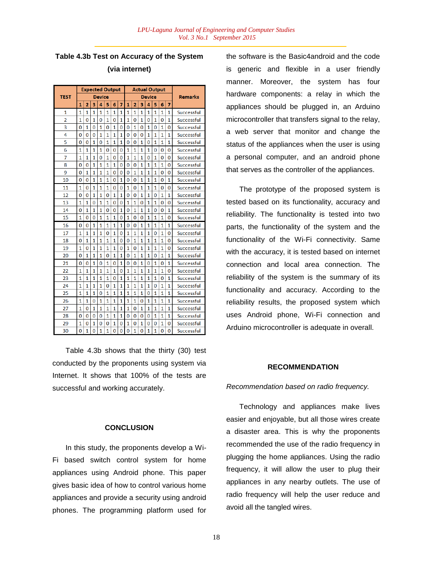**Table 4.3b Test on Accuracy of the System (via internet)**

|                         |                | <b>Expected Output</b> |                |                |                |                |                |                |                |                | <b>Actual Output</b> |                |                |                |                   |
|-------------------------|----------------|------------------------|----------------|----------------|----------------|----------------|----------------|----------------|----------------|----------------|----------------------|----------------|----------------|----------------|-------------------|
| <b>TEST</b>             |                |                        |                | <b>Device</b>  |                |                |                |                |                |                | <b>Device</b>        |                |                |                | <b>Remarks</b>    |
|                         | 1              | $\overline{2}$         | 3              | 4              | 5              | 6              | 7              | 1              | $\overline{2}$ | 3              | 4                    | 5              | 6              | 7              |                   |
| 1                       | $\overline{1}$ | 1                      | 1              | $\overline{1}$ | 1              | 1              | $\overline{1}$ | 1              | 1              | $\overline{1}$ | 1                    | $\overline{1}$ | $\overline{1}$ | 1              | Successful        |
| $\overline{2}$          | 1              | $\Omega$               | 1              | 0              | 1              | $\overline{0}$ | 1              | 1              | $\Omega$       | $\mathbf{1}$   | $\Omega$             | 1              | 0              | 1              | Successful        |
| $\overline{\mathbf{3}}$ | 0              | $\mathbf{1}$           | $\overline{0}$ | 1              | $\Omega$       | $\overline{1}$ | $\overline{0}$ | Ō              | 1              | 0              | 1                    | $\overline{0}$ | 1              | $\Omega$       | Successful        |
| 4                       | n              | $\Omega$               | 0              | 1              | 1              | $\overline{1}$ | 1              | O              | 0              | $\Omega$       | 1                    | $\overline{1}$ | 1              | 1              | Successful        |
| 5                       | 0              | 0                      | 1              | 0              | 1              | $\overline{1}$ | 1              | Ō              | 0              | 1              | 0                    | $\overline{1}$ | 1              | 1              | <b>Successful</b> |
| 6                       | 1              | $\mathbf{1}$           | $\mathbf{1}$   | $\mathbf{1}$   | $\overline{0}$ | $\overline{0}$ | 0              | $\mathbf{1}$   | $\mathbf{1}$   | $\mathbf{1}$   | 1                    | $\overline{0}$ | 0              | $\overline{0}$ | Successful        |
| 7                       | 1              | $\overline{1}$         | $\overline{1}$ | 0              | $\overline{1}$ | $\overline{0}$ | 0              | $\mathbf{1}$   | $\overline{1}$ | $\overline{1}$ | $\overline{0}$       | $\overline{1}$ | $\overline{0}$ | 0              | Successful        |
| 8                       | 0              | $\Omega$               | $\mathbf{1}$   | 1              | $\mathbf{1}$   | $\mathbf{1}$   | 0              | Ō              | 0              | $\mathbf{1}$   | 1                    | 1              | $\mathbf{1}$   | $\Omega$       | Successful        |
| 9                       | O              | 1                      | 1              | 1              | 1              | Ō              | 0              | O              | 1              | 1              | 1                    | 1              | 0              | $\Omega$       | Successful        |
| 10                      | 0              | $\overline{0}$         | $\overline{1}$ | $\overline{1}$ | $\overline{1}$ | $\overline{0}$ | 1              | Ō              | Ō              | 1              | $\overline{1}$       | $\overline{1}$ | 0              | $\overline{1}$ | <b>Successful</b> |
| 11                      | 1              | $\Omega$               | $\mathbf{1}$   | $\mathbf{1}$   | $\overline{1}$ | $\overline{0}$ | $\overline{0}$ | $\mathbf{1}$   | $\overline{0}$ | 1              | $\overline{1}$       | $\overline{1}$ | $\overline{0}$ | $\Omega$       | Successful        |
| 12                      | O              | $\Omega$               | 1              | 1              | 0              | 1              | 1              | O              | 0              | 1              | 1                    | $\Omega$       | 1              | 1              | <b>Successful</b> |
| 13                      | 1              | 1                      | 0              | 1              | 1              | 0              | 0              | 1              | 1              | 0              | 1                    | 1              | 0              | 0              | <b>Successful</b> |
| 14                      | 0              | 1                      | 1              | 1              | $\Omega$       | $\Omega$       | $\mathbf{1}$   | Ō              | 1              | 1              | 1                    | O              | 0              | 1              | Successful        |
| 15                      | 1              | $\Omega$               | O              | 1              | 1              | 1              | $\Omega$       | 1              | $\Omega$       | 0              | 1                    | 1              | $\overline{1}$ | $\Omega$       | Successful        |
| 16                      | 0              | $\Omega$               | 1              | 1              | 1              | $\mathbf{1}$   | 1              | $\Omega$       | 0              | 1              | 1                    | 1              | 1              | 1              | Successful        |
| 17                      | $\mathbf{1}$   | $\mathbf{1}$           | $\mathbf{1}$   | $\overline{1}$ | $\overline{0}$ | $\overline{1}$ | 0              | 1              | $\mathbf{1}$   | $\mathbf{1}$   | $\mathbf{1}$         | $\overline{0}$ | $\mathbf{1}$   | $\Omega$       | Successful        |
| 18                      | 0              | 1                      | 1              | $\mathbf{1}$   | 1              | 1              | $\Omega$       | Ō              | 1              | $\mathbf{1}$   | 1                    | 1              | $\mathbf{1}$   | $\overline{0}$ | Successful        |
| 19                      | $\mathbf{1}$   | $\Omega$               | $\mathbf{1}$   | $\overline{1}$ | $\overline{1}$ | $\overline{1}$ | 0              | $\mathbf{1}$   | $\overline{0}$ | 1              | $\overline{1}$       | $\mathbf{1}$   | $\overline{1}$ | $\Omega$       | Successful        |
| 20                      | O              | 1                      | $\mathbf{1}$   | $\mathbf{1}$   | Ō              | $\mathbf{1}$   | 1              | Ō              | $\mathbf{1}$   | $\mathbf{1}$   | $\mathbf{1}$         | $\overline{0}$ | $\mathbf{1}$   | 1              | Successful        |
| 21                      | 0              | $\overline{0}$         | $\overline{1}$ | 0              | 1              | $\overline{0}$ | 1              | Ō              | $\Omega$       | 1              | $\Omega$             | $\overline{1}$ | $\Omega$       | 1              | Successful        |
| 22                      | 1              | $\mathbf{1}$           | $\mathbf{1}$   | $\mathbf{1}$   | $\mathbf{1}$   | $\overline{1}$ | 0              | 1              | $\mathbf{1}$   | $\mathbf{1}$   | $\mathbf{1}$         | $\mathbf{1}$   | $\mathbf{1}$   | $\overline{0}$ | Successful        |
| 23                      | 1              | $\overline{1}$         | $\overline{1}$ | 1              | $\overline{1}$ | $\overline{0}$ | $\overline{1}$ | $\mathbf{1}$   | $\overline{1}$ | $\overline{1}$ | $\overline{1}$       | $\overline{1}$ | $\overline{0}$ | $\mathbf{1}$   | Successful        |
| 24                      | 1              | 1                      | 1              | 1              | 0              | 1              | 1              | 1              | 1              | 1              | 1                    | $\overline{0}$ | 1              | 1              | Successful        |
| 25                      | 1              | 1                      | $\mathbf{1}$   | O              | 1              | $\overline{1}$ | 1              | 1              | $\mathbf{1}$   | $\mathbf{1}$   | O                    | $\mathbf{1}$   | $\mathbf{1}$   | 1              | Successful        |
| 26                      | $\mathbf{1}$   | $\overline{1}$         | 0              | $\overline{1}$ | $\overline{1}$ | $\overline{1}$ | $\overline{1}$ | $\overline{1}$ | $\overline{1}$ | 0              | $\mathbf{1}$         | $\overline{1}$ | $\mathbf{1}$   | $\mathbf{1}$   | Successful        |
| 27                      | $\mathbf{1}$   | $\Omega$               | $\mathbf{1}$   | $\mathbf{1}$   | $\overline{1}$ | $\overline{1}$ | $\overline{1}$ | $\overline{1}$ | $\overline{0}$ | 1              | $\overline{1}$       | $\overline{1}$ | $\mathbf{1}$   | $\mathbf{1}$   | Successful        |
| 28                      | O              | O                      | $\overline{0}$ | O              | 1              | $\mathbf{1}$   | 1              | Ō              | $\overline{0}$ | $\Omega$       | $\Omega$             | $\mathbf{1}$   | 1              | 1              | Successful        |
| 29                      | 1              | 0                      | 1              | 0              | 0              | 1              | 0              | 1              | 0              | 1              | 0                    | 0              | 1              | 0              | <b>Successful</b> |
| 30                      | 0              | $\mathbf{1}$           | 0              | $\mathbf{1}$   | $\mathbf{1}$   | Ō              | $\bf{0}$       | 0              | $\mathbf{1}$   | 0              | $\mathbf{1}$         | 1              | 0              | 0              | <b>Successful</b> |

Table 4.3b shows that the thirty (30) test conducted by the proponents using system via Internet. It shows that 100% of the tests are successful and working accurately.

### **CONCLUSION**

In this study, the proponents develop a Wi-Fi based switch control system for home appliances using Android phone. This paper gives basic idea of how to control various home appliances and provide a security using android phones. The programming platform used for the software is the Basic4android and the code is generic and flexible in a user friendly manner. Moreover, the system has four hardware components: a relay in which the appliances should be plugged in, an Arduino microcontroller that transfers signal to the relay, a web server that monitor and change the status of the appliances when the user is using a personal computer, and an android phone that serves as the controller of the appliances.

The prototype of the proposed system is tested based on its functionality, accuracy and reliability. The functionality is tested into two parts, the functionality of the system and the functionality of the Wi-Fi connectivity. Same with the accuracy, it is tested based on internet connection and local area connection. The reliability of the system is the summary of its functionality and accuracy. According to the reliability results, the proposed system which uses Android phone, Wi-Fi connection and Arduino microcontroller is adequate in overall.

#### **RECOMMENDATION**

*Recommendation based on radio frequency.*

Technology and appliances make lives easier and enjoyable, but all those wires create a disaster area. This is why the proponents recommended the use of the radio frequency in plugging the home appliances. Using the radio frequency, it will allow the user to plug their appliances in any nearby outlets. The use of radio frequency will help the user reduce and avoid all the tangled wires.